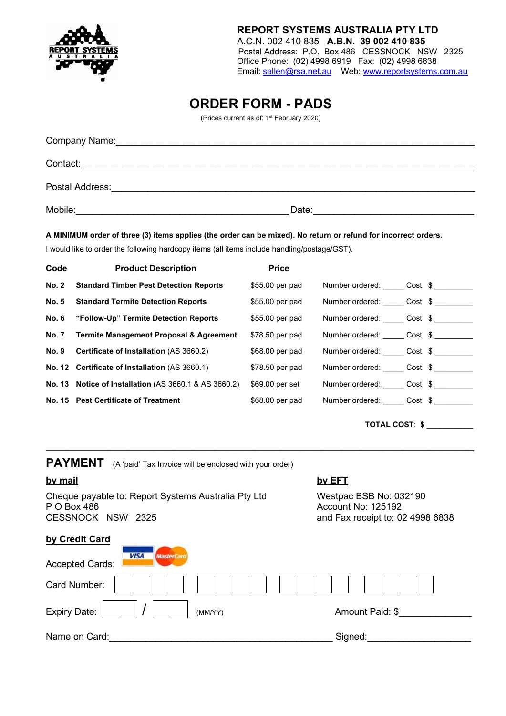

#### **REPORT SYSTEMS AUSTRALIA PTY LTD** A.C.N. 002 410 835 **A.B.N. 39 002 410 835** Postal Address: P.O. Box 486 CESSNOCK NSW 2325 Office Phone: (02) 4998 6919 Fax: (02) 4998 6838 Email: [sallen@rsa.net.au](mailto:sallen@rsa.net.au) Web: [www.reportsystems.com.au](http://www.reportsystems.com.au/)

# **ORDER FORM - PADS**

(Prices current as of: 1st February 2020)

| Company Name:   |       |
|-----------------|-------|
| Contact:        |       |
| Postal Address: |       |
| Mobile:         | Date: |

#### **A MINIMUM order of three (3) items applies (the order can be mixed). No return or refund for incorrect orders.**

I would like to order the following hardcopy items (all items include handling/postage/GST).

| Code         | <b>Product Description</b>                                       | <b>Price</b>    |                          |  |
|--------------|------------------------------------------------------------------|-----------------|--------------------------|--|
| <b>No. 2</b> | <b>Standard Timber Pest Detection Reports</b>                    | \$55.00 per pad | Number ordered: Cost: \$ |  |
|              | No. 5 Standard Termite Detection Reports                         | \$55.00 per pad | Number ordered: Cost: \$ |  |
|              | No. 6 "Follow-Up" Termite Detection Reports                      | \$55.00 per pad | Number ordered: Cost: \$ |  |
|              | No. 7 Termite Management Proposal & Agreement                    | \$78.50 per pad | Number ordered: Cost: \$ |  |
|              | No. 9 Certificate of Installation (AS 3660.2)                    | \$68.00 per pad | Number ordered: Cost: \$ |  |
|              | No. 12 Certificate of Installation (AS 3660.1)                   | \$78.50 per pad | Number ordered: Cost: \$ |  |
|              | <b>No. 13 Notice of Installation (AS 3660.1 &amp; AS 3660.2)</b> | \$69.00 per set | Number ordered: Cost: \$ |  |
|              | No. 15 Pest Certificate of Treatment                             | \$68.00 per pad | Number ordered: Cost: \$ |  |
|              |                                                                  |                 |                          |  |

**\_\_\_\_\_\_\_\_\_\_\_\_\_\_\_\_\_\_\_\_\_\_\_\_\_\_\_\_\_\_\_\_\_\_\_\_\_\_\_\_\_\_\_\_\_\_\_\_\_\_\_\_\_\_\_\_\_\_\_\_\_\_\_\_\_\_\_\_\_\_\_\_\_\_\_\_\_\_\_\_\_\_\_\_**

**TOTAL COST**: **\$** \_\_\_\_\_\_\_\_\_\_\_

**PAYMENT** (A 'paid' Tax Invoice will be enclosed with your order) **by mail by EFT** Cheque payable to: Report Systems Australia Pty Ltd Westpac BSB No: 032190<br>P O Box 486 <br>Account No: 125192 P O Box 486 <br>CESSNOCK NSW 2325 **Account No: 125192** and Fax receipt to: 02 4998 6838 **by Credit Card**

| <b>VISA</b><br><b>MasterCard</b><br><b>Accepted Cards:</b> |                 |
|------------------------------------------------------------|-----------------|
| Card Number:                                               |                 |
| Expiry Date:<br>(MM/YY)                                    | Amount Paid: \$ |
| Name on Card:                                              | Signed:         |